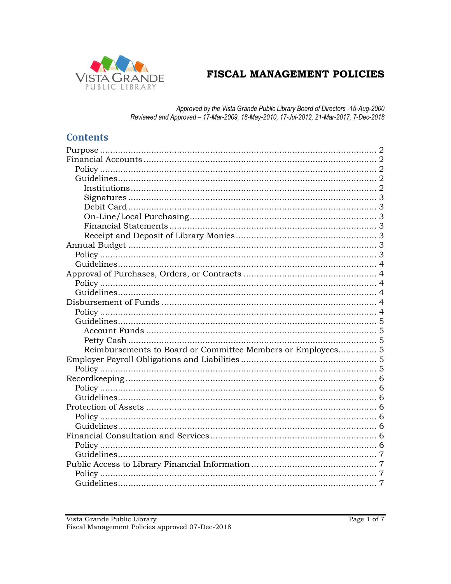

# FISCAL MANAGEMENT POLICIES

Approved by the Vista Grande Public Library Board of Directors -15-Aug-2000<br>Reviewed and Approved - 17-Mar-2009, 18-May-2010, 17-Jul-2012, 21-Mar-2017, 7-Dec-2018

# **Contents**

| Reimbursements to Board or Committee Members or Employees 5 |  |
|-------------------------------------------------------------|--|
|                                                             |  |
|                                                             |  |
|                                                             |  |
|                                                             |  |
|                                                             |  |
|                                                             |  |
|                                                             |  |
|                                                             |  |
|                                                             |  |
|                                                             |  |
|                                                             |  |
|                                                             |  |
|                                                             |  |
|                                                             |  |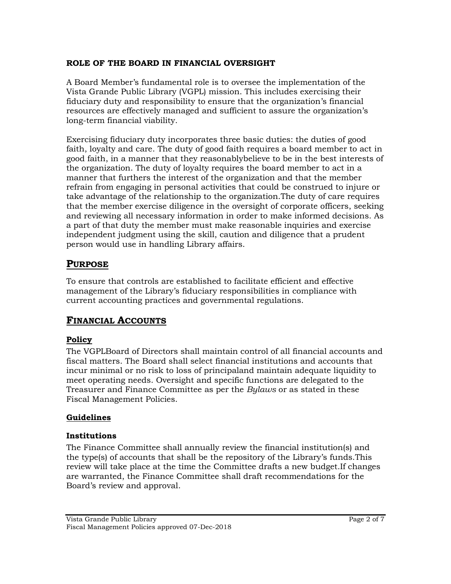## **ROLE OF THE BOARD IN FINANCIAL OVERSIGHT**

A Board Member's fundamental role is to oversee the implementation of the Vista Grande Public Library (VGPL) mission. This includes exercising their fiduciary duty and responsibility to ensure that the organization's financial resources are effectively managed and sufficient to assure the organization's long-term financial viability.

Exercising fiduciary duty incorporates three basic duties: the duties of good faith, loyalty and care. The duty of good faith requires a board member to act in good faith, in a manner that they reasonablybelieve to be in the best interests of the organization. The duty of loyalty requires the board member to act in a manner that furthers the interest of the organization and that the member refrain from engaging in personal activities that could be construed to injure or take advantage of the relationship to the organization.The duty of care requires that the member exercise diligence in the oversight of corporate officers, seeking and reviewing all necessary information in order to make informed decisions. As a part of that duty the member must make reasonable inquiries and exercise independent judgment using the skill, caution and diligence that a prudent person would use in handling Library affairs.

# <span id="page-1-0"></span>**PURPOSE**

To ensure that controls are established to facilitate efficient and effective management of the Library's fiduciary responsibilities in compliance with current accounting practices and governmental regulations.

# <span id="page-1-1"></span>**FINANCIAL ACCOUNTS**

# <span id="page-1-2"></span>**Policy**

The VGPLBoard of Directors shall maintain control of all financial accounts and fiscal matters. The Board shall select financial institutions and accounts that incur minimal or no risk to loss of principaland maintain adequate liquidity to meet operating needs. Oversight and specific functions are delegated to the Treasurer and Finance Committee as per the *Bylaws* or as stated in these Fiscal Management Policies.

# <span id="page-1-3"></span>**Guidelines**

# <span id="page-1-4"></span>**Institutions**

The Finance Committee shall annually review the financial institution(s) and the type(s) of accounts that shall be the repository of the Library's funds.This review will take place at the time the Committee drafts a new budget.If changes are warranted, the Finance Committee shall draft recommendations for the Board's review and approval.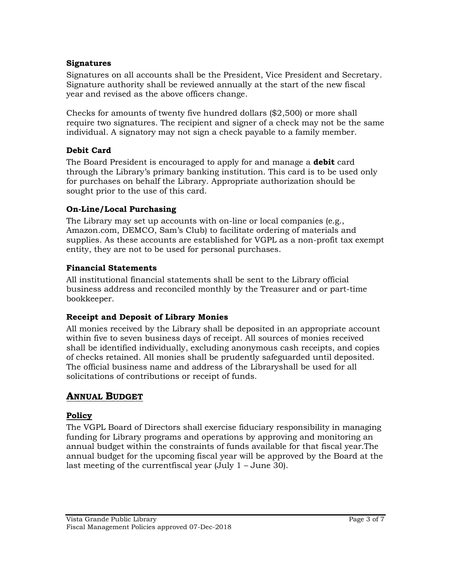#### **Signatures**

<span id="page-2-0"></span>Signatures on all accounts shall be the President, Vice President and Secretary. Signature authority shall be reviewed annually at the start of the new fiscal year and revised as the above officers change.

Checks for amounts of twenty five hundred dollars (\$2,500) or more shall require two signatures. The recipient and signer of a check may not be the same individual. A signatory may not sign a check payable to a family member.

## <span id="page-2-1"></span>**Debit Card**

The Board President is encouraged to apply for and manage a **debit** card through the Library's primary banking institution. This card is to be used only for purchases on behalf the Library. Appropriate authorization should be sought prior to the use of this card.

## <span id="page-2-2"></span>**On-Line/Local Purchasing**

The Library may set up accounts with on-line or local companies (e.g., Amazon.com, DEMCO, Sam's Club) to facilitate ordering of materials and supplies. As these accounts are established for VGPL as a non-profit tax exempt entity, they are not to be used for personal purchases.

## <span id="page-2-3"></span>**Financial Statements**

All institutional financial statements shall be sent to the Library official business address and reconciled monthly by the Treasurer and or part-time bookkeeper.

## <span id="page-2-4"></span>**Receipt and Deposit of Library Monies**

All monies received by the Library shall be deposited in an appropriate account within five to seven business days of receipt. All sources of monies received shall be identified individually, excluding anonymous cash receipts, and copies of checks retained. All monies shall be prudently safeguarded until deposited. The official business name and address of the Libraryshall be used for all solicitations of contributions or receipt of funds.

# <span id="page-2-5"></span>**ANNUAL BUDGET**

## <span id="page-2-6"></span>**Policy**

The VGPL Board of Directors shall exercise fiduciary responsibility in managing funding for Library programs and operations by approving and monitoring an annual budget within the constraints of funds available for that fiscal year.The annual budget for the upcoming fiscal year will be approved by the Board at the last meeting of the currentfiscal year (July 1 – June 30).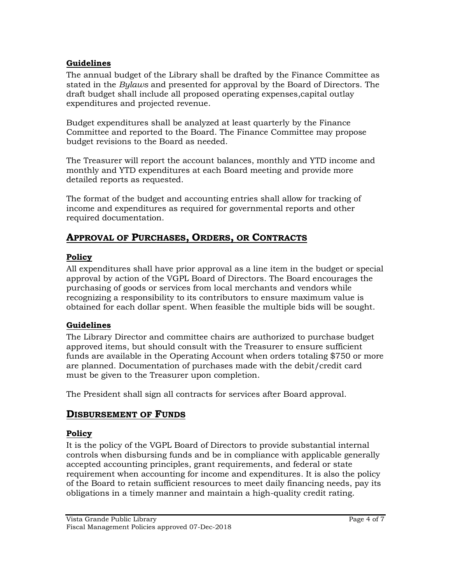## **Guidelines**

<span id="page-3-0"></span>The annual budget of the Library shall be drafted by the Finance Committee as stated in the *Bylaws* and presented for approval by the Board of Directors. The draft budget shall include all proposed operating expenses,capital outlay expenditures and projected revenue.

Budget expenditures shall be analyzed at least quarterly by the Finance Committee and reported to the Board. The Finance Committee may propose budget revisions to the Board as needed.

The Treasurer will report the account balances, monthly and YTD income and monthly and YTD expenditures at each Board meeting and provide more detailed reports as requested.

The format of the budget and accounting entries shall allow for tracking of income and expenditures as required for governmental reports and other required documentation.

# <span id="page-3-1"></span>**APPROVAL OF PURCHASES, ORDERS, OR CONTRACTS**

## <span id="page-3-2"></span>**Policy**

All expenditures shall have prior approval as a line item in the budget or special approval by action of the VGPL Board of Directors. The Board encourages the purchasing of goods or services from local merchants and vendors while recognizing a responsibility to its contributors to ensure maximum value is obtained for each dollar spent. When feasible the multiple bids will be sought.

# <span id="page-3-3"></span>**Guidelines**

The Library Director and committee chairs are authorized to purchase budget approved items, but should consult with the Treasurer to ensure sufficient funds are available in the Operating Account when orders totaling \$750 or more are planned. Documentation of purchases made with the debit/credit card must be given to the Treasurer upon completion.

<span id="page-3-4"></span>The President shall sign all contracts for services after Board approval.

# **DISBURSEMENT OF FUNDS**

# <span id="page-3-5"></span>**Policy**

It is the policy of the VGPL Board of Directors to provide substantial internal controls when disbursing funds and be in compliance with applicable generally accepted accounting principles, grant requirements, and federal or state requirement when accounting for income and expenditures. It is also the policy of the Board to retain sufficient resources to meet daily financing needs, pay its obligations in a timely manner and maintain a high-quality credit rating.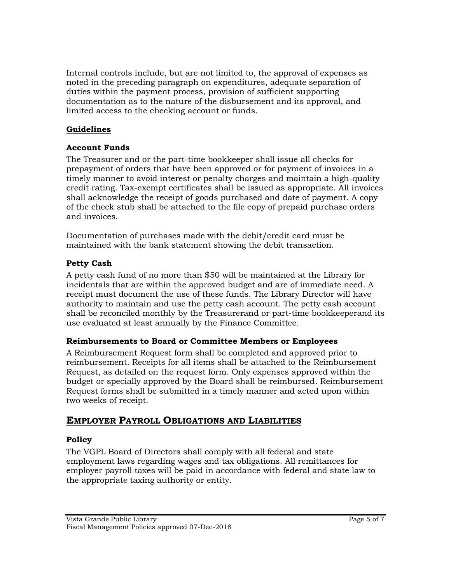Internal controls include, but are not limited to, the approval of expenses as noted in the preceding paragraph on expenditures, adequate separation of duties within the payment process, provision of sufficient supporting documentation as to the nature of the disbursement and its approval, and limited access to the checking account or funds.

## <span id="page-4-0"></span>**Guidelines**

## <span id="page-4-1"></span>**Account Funds**

The Treasurer and or the part-time bookkeeper shall issue all checks for prepayment of orders that have been approved or for payment of invoices in a timely manner to avoid interest or penalty charges and maintain a high-quality credit rating. Tax-exempt certificates shall be issued as appropriate. All invoices shall acknowledge the receipt of goods purchased and date of payment. A copy of the check stub shall be attached to the file copy of prepaid purchase orders and invoices.

Documentation of purchases made with the debit/credit card must be maintained with the bank statement showing the debit transaction.

## <span id="page-4-2"></span>**Petty Cash**

A petty cash fund of no more than \$50 will be maintained at the Library for incidentals that are within the approved budget and are of immediate need. A receipt must document the use of these funds. The Library Director will have authority to maintain and use the petty cash account. The petty cash account shall be reconciled monthly by the Treasurerand or part-time bookkeeperand its use evaluated at least annually by the Finance Committee.

## <span id="page-4-3"></span>**Reimbursements to Board or Committee Members or Employees**

A Reimbursement Request form shall be completed and approved prior to reimbursement. Receipts for all items shall be attached to the Reimbursement Request, as detailed on the request form. Only expenses approved within the budget or specially approved by the Board shall be reimbursed. Reimbursement Request forms shall be submitted in a timely manner and acted upon within two weeks of receipt.

# <span id="page-4-4"></span>**EMPLOYER PAYROLL OBLIGATIONS AND LIABILITIES**

## <span id="page-4-5"></span>**Policy**

The VGPL Board of Directors shall comply with all federal and state employment laws regarding wages and tax obligations. All remittances for employer payroll taxes will be paid in accordance with federal and state law to the appropriate taxing authority or entity.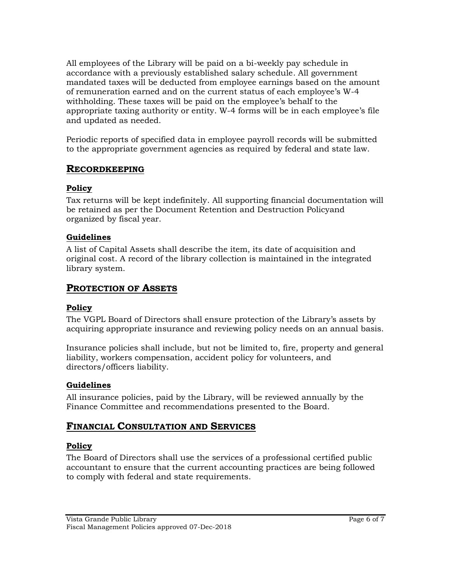All employees of the Library will be paid on a bi-weekly pay schedule in accordance with a previously established salary schedule. All government mandated taxes will be deducted from employee earnings based on the amount of remuneration earned and on the current status of each employee's W-4 withholding. These taxes will be paid on the employee's behalf to the appropriate taxing authority or entity. W-4 forms will be in each employee's file and updated as needed.

Periodic reports of specified data in employee payroll records will be submitted to the appropriate government agencies as required by federal and state law.

## <span id="page-5-0"></span>**RECORDKEEPING**

#### <span id="page-5-1"></span>**Policy**

Tax returns will be kept indefinitely. All supporting financial documentation will be retained as per the Document Retention and Destruction Policyand organized by fiscal year.

## <span id="page-5-2"></span>**Guidelines**

A list of Capital Assets shall describe the item, its date of acquisition and original cost. A record of the library collection is maintained in the integrated library system.

# <span id="page-5-3"></span>**PROTECTION OF ASSETS**

## <span id="page-5-4"></span>**Policy**

The VGPL Board of Directors shall ensure protection of the Library's assets by acquiring appropriate insurance and reviewing policy needs on an annual basis.

Insurance policies shall include, but not be limited to, fire, property and general liability, workers compensation, accident policy for volunteers, and directors/officers liability.

## <span id="page-5-5"></span>**Guidelines**

All insurance policies, paid by the Library, will be reviewed annually by the Finance Committee and recommendations presented to the Board.

# <span id="page-5-6"></span>**FINANCIAL CONSULTATION AND SERVICES**

## <span id="page-5-7"></span>**Policy**

The Board of Directors shall use the services of a professional certified public accountant to ensure that the current accounting practices are being followed to comply with federal and state requirements.